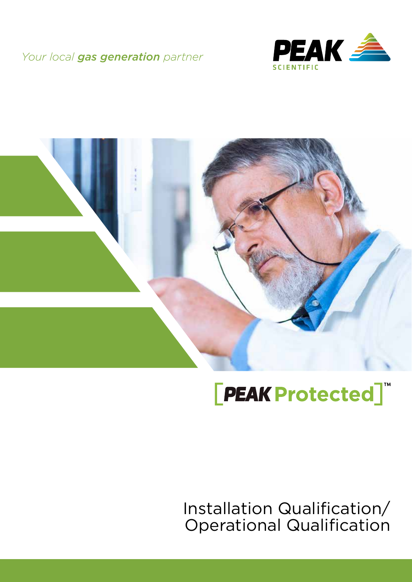### *Your local gas generation partner*





# **[PEAK Protected]**

Installation Qualification/ Operational Qualification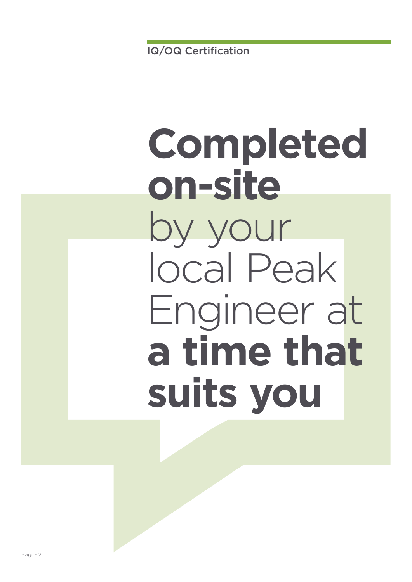# **Completed on-site** by your local Peak Engineer at **a time that suits you**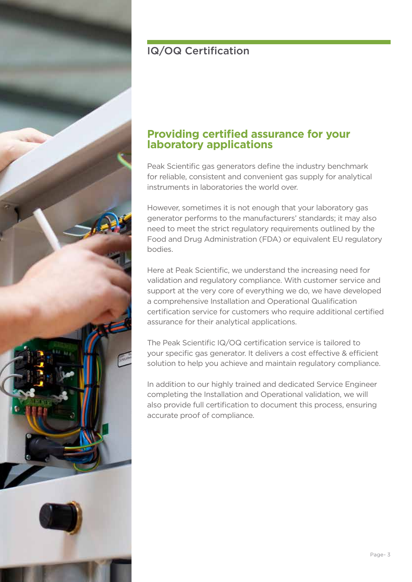

### IQ/OQ Certification

### **Providing certified assurance for your laboratory applications**

Peak Scientific gas generators define the industry benchmark for reliable, consistent and convenient gas supply for analytical instruments in laboratories the world over.

However, sometimes it is not enough that your laboratory gas generator performs to the manufacturers' standards; it may also need to meet the strict regulatory requirements outlined by the Food and Drug Administration (FDA) or equivalent EU regulatory bodies.

Here at Peak Scientific, we understand the increasing need for validation and regulatory compliance. With customer service and support at the very core of everything we do, we have developed a comprehensive Installation and Operational Qualification certification service for customers who require additional certified assurance for their analytical applications.

The Peak Scientific IQ/OQ certification service is tailored to your specific gas generator. It delivers a cost effective & efficient solution to help you achieve and maintain regulatory compliance.

In addition to our highly trained and dedicated Service Engineer completing the Installation and Operational validation, we will also provide full certification to document this process, ensuring accurate proof of compliance.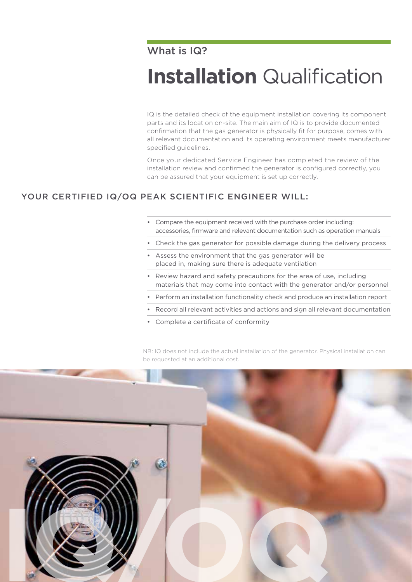### What is IQ?

# **Installation** Qualification

IQ is the detailed check of the equipment installation covering its component parts and its location on-site. The main aim of IQ is to provide documented confirmation that the gas generator is physically fit for purpose, comes with all relevant documentation and its operating environment meets manufacturer specified guidelines.

Once your dedicated Service Engineer has completed the review of the installation review and confirmed the generator is configured correctly, you can be assured that your equipment is set up correctly.

#### YOUR CERTIFIED IQ/OQ PEAK SCIENTIFIC ENGINEER WILL:

- Compare the equipment received with the purchase order including: accessories, firmware and relevant documentation such as operation manuals
- Check the gas generator for possible damage during the delivery process
- Assess the environment that the gas generator will be placed in, making sure there is adequate ventilation
- Review hazard and safety precautions for the area of use, including materials that may come into contact with the generator and/or personnel
- Perform an installation functionality check and produce an installation report
- Record all relevant activities and actions and sign all relevant documentation
- Complete a certificate of conformity

NB: IQ does not include the actual installation of the generator. Physical installation can be requested at an additional cost.

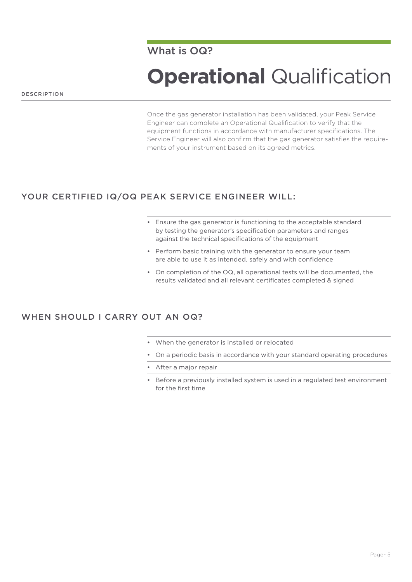Once the gas generator installation has been validated, your Peak Service Engineer can complete an Operational Qualification to verify that the equipment functions in accordance with manufacturer specifications. The Service Engineer will also confirm that the gas generator satisfies the requirements of your instrument based on its agreed metrics.

#### YOUR CERTIFIED IQ/OQ PEAK SERVICE ENGINEER WILL:

- Ensure the gas generator is functioning to the acceptable standard by testing the generator's specification parameters and ranges against the technical specifications of the equipment
- Perform basic training with the generator to ensure your team are able to use it as intended, safely and with confidence
- On completion of the OQ, all operational tests will be documented, the results validated and all relevant certificates completed & signed

#### WHEN SHOULD LCARRY OUT AN OQ?

- When the generator is installed or relocated
- On a periodic basis in accordance with your standard operating procedures
- After a major repair
- Before a previously installed system is used in a regulated test environment for the first time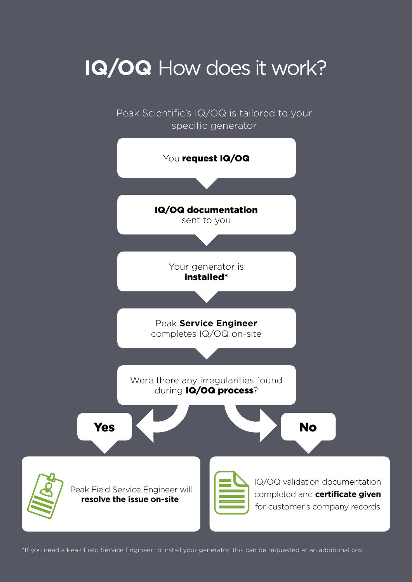# **IQ/OQ** How does it work?

Peak Scientific's IQ/OQ is tailored to your specific generator



\*If you need a Peak Field Service Engineer to install your generator, this can be requested at an additional cost.<br>'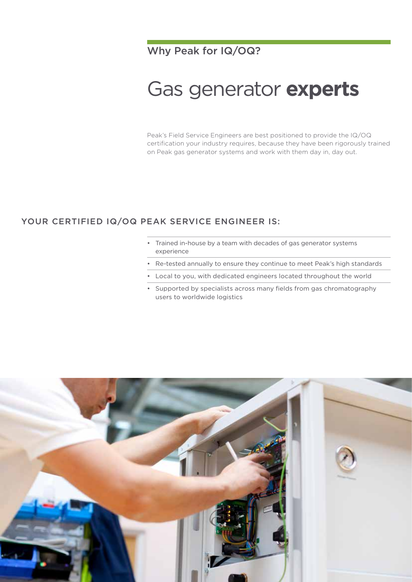### Why Peak for IQ/OQ?

## Gas generator **experts**

Peak's Field Service Engineers are best positioned to provide the IQ/OQ certification your industry requires, because they have been rigorously trained on Peak gas generator systems and work with them day in, day out.

#### YOUR CERTIFIED IQ/OQ PEAK SERVICE ENGINEER IS:

- Trained in-house by a team with decades of gas generator systems experience
- Re-tested annually to ensure they continue to meet Peak's high standards
- Local to you, with dedicated engineers located throughout the world
- Supported by specialists across many fields from gas chromatography users to worldwide logistics